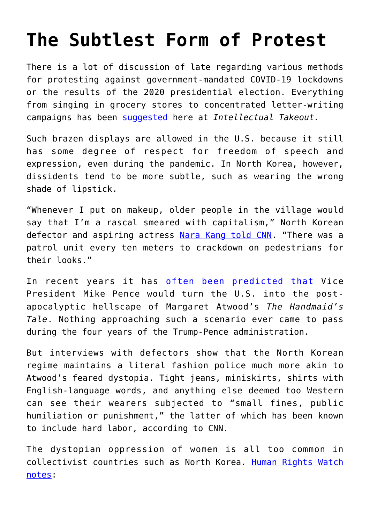## **[The Subtlest Form of Protest](https://intellectualtakeout.org/2020/12/the-subtlest-form-of-protest/)**

There is a lot of discussion of late regarding various methods for protesting against government-mandated COVID-19 lockdowns or the results of the 2020 presidential election. Everything from singing in grocery stores to concentrated letter-writing campaigns has been [suggested](https://www.intellectualtakeout.org/keeping-up-the-fight-against-tyranny/) here at *Intellectual Takeout.*

Such brazen displays are allowed in the U.S. because it still has some degree of respect for freedom of speech and expression, even during the pandemic. In North Korea, however, dissidents tend to be more subtle, such as wearing the wrong shade of lipstick.

"Whenever I put on makeup, older people in the village would say that I'm a rascal smeared with capitalism," North Korean defector and aspiring actress [Nara Kang told CNN](http://www.cnn.com/style/article/north-korea-womens-beauty-freedom/?hpt=ob_blogfooterold). "There was a patrol unit every ten meters to crackdown on pedestrians for their looks."

In recent years it has [often](https://www.coloradopolitics.com/2020-election/actress-who-plays-aunt-lydia-on-handmaids-tale-set-to-rally-colorado-voters-for-biden/article_301d1f86-1957-11eb-8127-ef7d989d5537.html) [been](https://www.inquirer.com/philly/opinion/commentary/the-handmaids-tale-pence-protest-opinion-20180727.html) [predicted](https://deadline.com/2020/10/women-marchers-protest-nationwide-against-trump-amy-coney-barrettt-1234599249/) [that](https://www.teenvogue.com/story/women-in-handmaids-tale-outfits-protest-mike-pence-new-york-visit) Vice President Mike Pence would turn the U.S. into the postapocalyptic hellscape of Margaret Atwood's *The Handmaid's Tale*. Nothing approaching such a scenario ever came to pass during the four years of the Trump-Pence administration.

But interviews with defectors show that the North Korean regime maintains a literal fashion police much more akin to Atwood's feared dystopia. Tight jeans, miniskirts, shirts with English-language words, and anything else deemed too Western can see their wearers subjected to "small fines, public humiliation or punishment," the latter of which has been known to include hard labor, according to CNN.

The dystopian oppression of women is all too common in collectivist countries such as North Korea. [Human Rights Watch](https://www.hrw.org/world-report/2020/country-chapters/north-korea) [notes](https://www.hrw.org/world-report/2020/country-chapters/north-korea):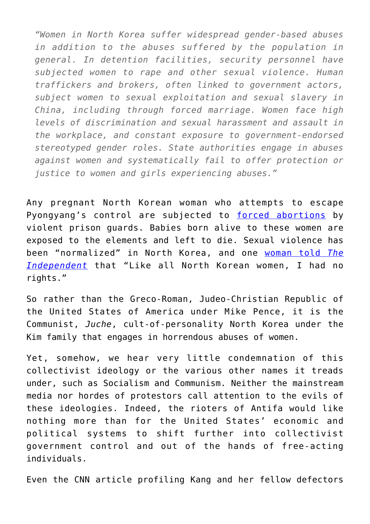*"Women in North Korea suffer widespread gender-based abuses in addition to the abuses suffered by the population in general. In detention facilities, security personnel have subjected women to rape and other sexual violence. Human traffickers and brokers, often linked to government actors, subject women to sexual exploitation and sexual slavery in China, including through forced marriage. Women face high levels of discrimination and sexual harassment and assault in the workplace, and constant exposure to government-endorsed stereotyped gender roles. State authorities engage in abuses against women and systematically fail to offer protection or justice to women and girls experiencing abuses."*

Any pregnant North Korean woman who attempts to escape Pyongyang's control are subjected to [forced abortions](https://www.independent.co.uk/news/world/asia/north-korea-women-jail-sexual-abuse-abortions-human-rights-un-a9646781.html) by violent prison guards. Babies born alive to these women are exposed to the elements and left to die. Sexual violence has been "normalized" in North Korea, and one [woman told](https://www.independent.co.uk/news/world/asia/north-korea-women-jail-sexual-abuse-abortions-human-rights-un-a9646781.html) *[The](https://www.independent.co.uk/news/world/asia/north-korea-women-jail-sexual-abuse-abortions-human-rights-un-a9646781.html) [Independent](https://www.independent.co.uk/news/world/asia/north-korea-women-jail-sexual-abuse-abortions-human-rights-un-a9646781.html)* that "Like all North Korean women, I had no rights."

So rather than the Greco-Roman, Judeo-Christian Republic of the United States of America under Mike Pence, it is the Communist, *Juche*, cult-of-personality North Korea under the Kim family that engages in horrendous abuses of women.

Yet, somehow, we hear very little condemnation of this collectivist ideology or the various other names it treads under, such as Socialism and Communism. Neither the mainstream media nor hordes of protestors call attention to the evils of these ideologies. Indeed, the rioters of Antifa would like nothing more than for the United States' economic and political systems to shift further into collectivist government control and out of the hands of free-acting individuals.

Even the CNN article profiling Kang and her fellow defectors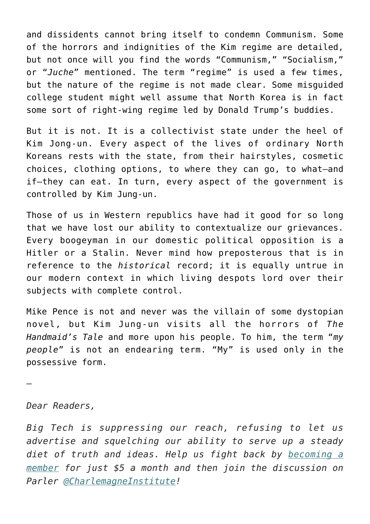and dissidents cannot bring itself to condemn Communism. Some of the horrors and indignities of the Kim regime are detailed, but not once will you find the words "Communism," "Socialism," or "*Juche*" mentioned. The term "regime" is used a few times, but the nature of the regime is not made clear. Some misguided college student might well assume that North Korea is in fact some sort of right-wing regime led by Donald Trump's buddies.

But it is not. It is a collectivist state under the heel of Kim Jong-un. Every aspect of the lives of ordinary North Koreans rests with the state, from their hairstyles, cosmetic choices, clothing options, to where they can go, to what—and if—they can eat. In turn, every aspect of the government is controlled by Kim Jung-un.

Those of us in Western republics have had it good for so long that we have lost our ability to contextualize our grievances. Every boogeyman in our domestic political opposition is a Hitler or a Stalin. Never mind how preposterous that is in reference to the *historical* record; it is equally untrue in our modern context in which living despots lord over their subjects with complete control.

Mike Pence is not and never was the villain of some dystopian novel, but Kim Jung-un visits all the horrors of *The Handmaid's Tale* and more upon his people. To him, the term "*my people*" is not an endearing term. "My" is used only in the possessive form.

—

*Dear Readers,*

*Big Tech is suppressing our reach, refusing to let us advertise and squelching our ability to serve up a steady diet of truth and ideas. Help us fight back by [becoming a](https://www.chroniclesmagazine.org/subscribe/) [member](https://www.chroniclesmagazine.org/subscribe/) for just \$5 a month and then join the discussion on Parler [@CharlemagneInstitute!](https://parler.com/profile/CharlemagneInstitute)*